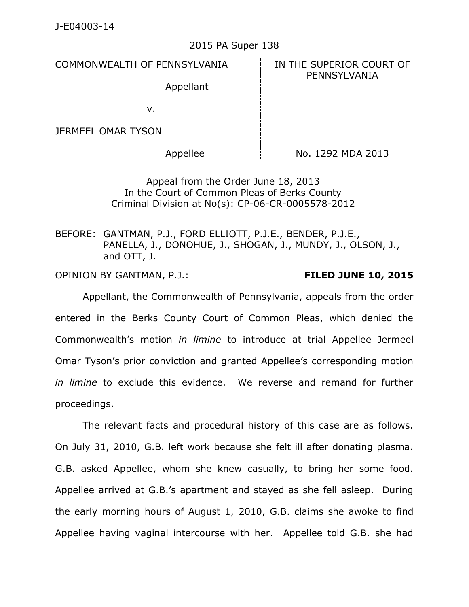## 2015 PA Super 138

COMMONWEALTH OF PENNSYLVANIA **IN THE SUPERIOR COURT OF** 

PENNSYLVANIA

Appellant

v.

JERMEEL OMAR TYSON

Appellee  $\parallel$  No. 1292 MDA 2013

Appeal from the Order June 18, 2013 In the Court of Common Pleas of Berks County Criminal Division at No(s): CP-06-CR-0005578-2012

BEFORE: GANTMAN, P.J., FORD ELLIOTT, P.J.E., BENDER, P.J.E., PANELLA, J., DONOHUE, J., SHOGAN, J., MUNDY, J., OLSON, J., and OTT, J.

OPINION BY GANTMAN, P.J.: **FILED JUNE 10, 2015**

Appellant, the Commonwealth of Pennsylvania, appeals from the order entered in the Berks County Court of Common Pleas, which denied the Commonwealth's motion *in limine* to introduce at trial Appellee Jermeel Omar Tyson's prior conviction and granted Appellee's corresponding motion *in limine* to exclude this evidence. We reverse and remand for further proceedings.

The relevant facts and procedural history of this case are as follows. On July 31, 2010, G.B. left work because she felt ill after donating plasma. G.B. asked Appellee, whom she knew casually, to bring her some food. Appellee arrived at G.B.'s apartment and stayed as she fell asleep. During the early morning hours of August 1, 2010, G.B. claims she awoke to find Appellee having vaginal intercourse with her. Appellee told G.B. she had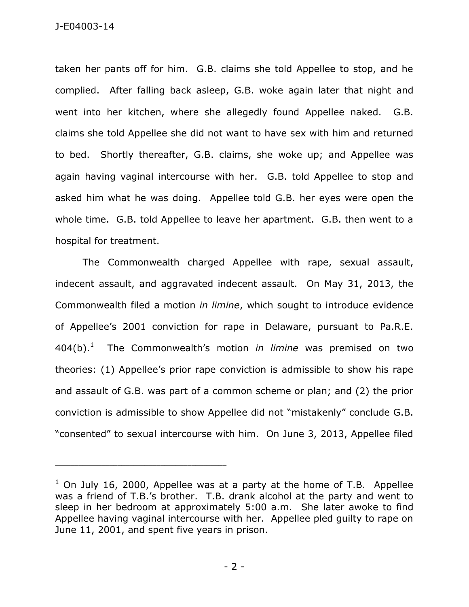taken her pants off for him. G.B. claims she told Appellee to stop, and he complied. After falling back asleep, G.B. woke again later that night and went into her kitchen, where she allegedly found Appellee naked. G.B. claims she told Appellee she did not want to have sex with him and returned to bed. Shortly thereafter, G.B. claims, she woke up; and Appellee was again having vaginal intercourse with her. G.B. told Appellee to stop and asked him what he was doing. Appellee told G.B. her eyes were open the whole time. G.B. told Appellee to leave her apartment. G.B. then went to a hospital for treatment.

The Commonwealth charged Appellee with rape, sexual assault, indecent assault, and aggravated indecent assault. On May 31, 2013, the Commonwealth filed a motion *in limine*, which sought to introduce evidence of Appellee's 2001 conviction for rape in Delaware, pursuant to Pa.R.E.  $404(b).<sup>1</sup>$  The Commonwealth's motion *in limine* was premised on two theories: (1) Appellee's prior rape conviction is admissible to show his rape and assault of G.B. was part of a common scheme or plan; and (2) the prior conviction is admissible to show Appellee did not "mistakenly" conclude G.B. "consented" to sexual intercourse with him. On June 3, 2013, Appellee filed

\_\_\_\_\_\_\_\_\_\_\_\_\_\_\_\_\_\_\_\_\_\_\_\_\_\_\_\_\_\_\_\_\_\_\_\_\_\_\_\_\_\_\_\_

 $1$  On July 16, 2000, Appellee was at a party at the home of T.B. Appellee was a friend of T.B.'s brother. T.B. drank alcohol at the party and went to sleep in her bedroom at approximately 5:00 a.m. She later awoke to find Appellee having vaginal intercourse with her. Appellee pled guilty to rape on June 11, 2001, and spent five years in prison.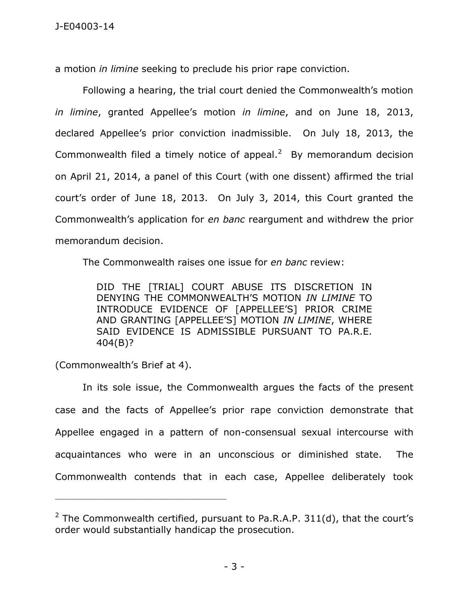a motion *in limine* seeking to preclude his prior rape conviction.

Following a hearing, the trial court denied the Commonwealth's motion *in limine*, granted Appellee's motion *in limine*, and on June 18, 2013, declared Appellee's prior conviction inadmissible. On July 18, 2013, the Commonwealth filed a timely notice of appeal. $2$  By memorandum decision on April 21, 2014, a panel of this Court (with one dissent) affirmed the trial court's order of June 18, 2013. On July 3, 2014, this Court granted the Commonwealth's application for *en banc* reargument and withdrew the prior memorandum decision.

The Commonwealth raises one issue for *en banc* review:

DID THE [TRIAL] COURT ABUSE ITS DISCRETION IN DENYING THE COMMONWEALTH'S MOTION *IN LIMINE* TO INTRODUCE EVIDENCE OF [APPELLEE'S] PRIOR CRIME AND GRANTING [APPELLEE'S] MOTION *IN LIMINE*, WHERE SAID EVIDENCE IS ADMISSIBLE PURSUANT TO PA.R.E. 404(B)?

(Commonwealth's Brief at 4).

\_\_\_\_\_\_\_\_\_\_\_\_\_\_\_\_\_\_\_\_\_\_\_\_\_\_\_\_\_\_\_\_\_\_\_\_\_\_\_\_\_\_\_\_

In its sole issue, the Commonwealth argues the facts of the present case and the facts of Appellee's prior rape conviction demonstrate that Appellee engaged in a pattern of non-consensual sexual intercourse with acquaintances who were in an unconscious or diminished state. The Commonwealth contends that in each case, Appellee deliberately took

<sup>&</sup>lt;sup>2</sup> The Commonwealth certified, pursuant to Pa.R.A.P. 311(d), that the court's order would substantially handicap the prosecution.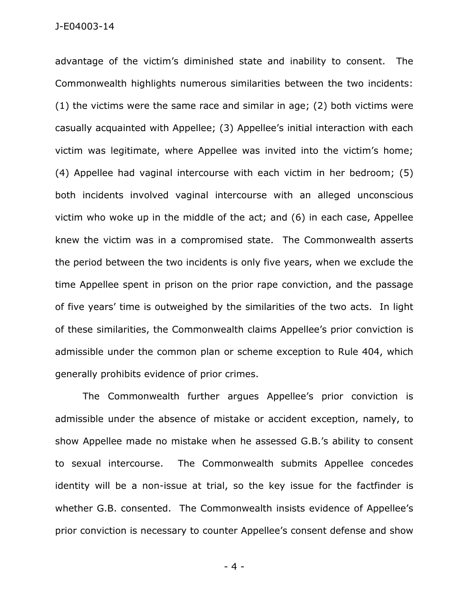advantage of the victim's diminished state and inability to consent. The Commonwealth highlights numerous similarities between the two incidents: (1) the victims were the same race and similar in age; (2) both victims were casually acquainted with Appellee; (3) Appellee's initial interaction with each victim was legitimate, where Appellee was invited into the victim's home; (4) Appellee had vaginal intercourse with each victim in her bedroom; (5) both incidents involved vaginal intercourse with an alleged unconscious victim who woke up in the middle of the act; and (6) in each case, Appellee knew the victim was in a compromised state. The Commonwealth asserts the period between the two incidents is only five years, when we exclude the time Appellee spent in prison on the prior rape conviction, and the passage of five years' time is outweighed by the similarities of the two acts. In light of these similarities, the Commonwealth claims Appellee's prior conviction is admissible under the common plan or scheme exception to Rule 404, which generally prohibits evidence of prior crimes.

The Commonwealth further argues Appellee's prior conviction is admissible under the absence of mistake or accident exception, namely, to show Appellee made no mistake when he assessed G.B.'s ability to consent to sexual intercourse. The Commonwealth submits Appellee concedes identity will be a non-issue at trial, so the key issue for the factfinder is whether G.B. consented. The Commonwealth insists evidence of Appellee's prior conviction is necessary to counter Appellee's consent defense and show

- 4 -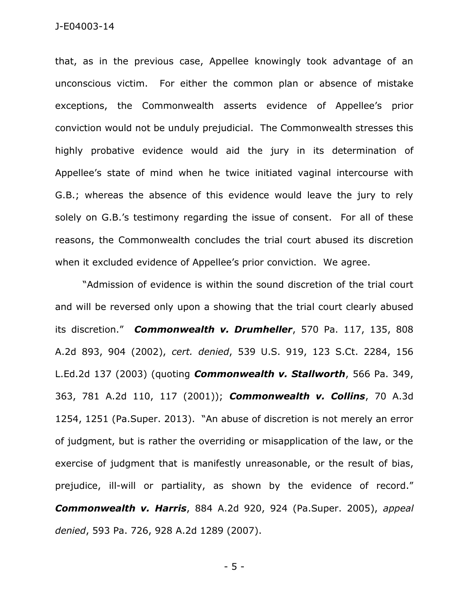that, as in the previous case, Appellee knowingly took advantage of an unconscious victim. For either the common plan or absence of mistake exceptions, the Commonwealth asserts evidence of Appellee's prior conviction would not be unduly prejudicial. The Commonwealth stresses this highly probative evidence would aid the jury in its determination of Appellee's state of mind when he twice initiated vaginal intercourse with G.B.; whereas the absence of this evidence would leave the jury to rely solely on G.B.'s testimony regarding the issue of consent. For all of these reasons, the Commonwealth concludes the trial court abused its discretion when it excluded evidence of Appellee's prior conviction. We agree.

"Admission of evidence is within the sound discretion of the trial court and will be reversed only upon a showing that the trial court clearly abused its discretion." *Commonwealth v. Drumheller*, 570 Pa. 117, 135, 808 A.2d 893, 904 (2002), *cert. denied*, 539 U.S. 919, 123 S.Ct. 2284, 156 L.Ed.2d 137 (2003) (quoting *Commonwealth v. Stallworth*, 566 Pa. 349, 363, 781 A.2d 110, 117 (2001)); *Commonwealth v. Collins*, 70 A.3d 1254, 1251 (Pa.Super. 2013). "An abuse of discretion is not merely an error of judgment, but is rather the overriding or misapplication of the law, or the exercise of judgment that is manifestly unreasonable, or the result of bias, prejudice, ill-will or partiality, as shown by the evidence of record." *Commonwealth v. Harris*, 884 A.2d 920, 924 (Pa.Super. 2005), *appeal denied*, 593 Pa. 726, 928 A.2d 1289 (2007).

- 5 -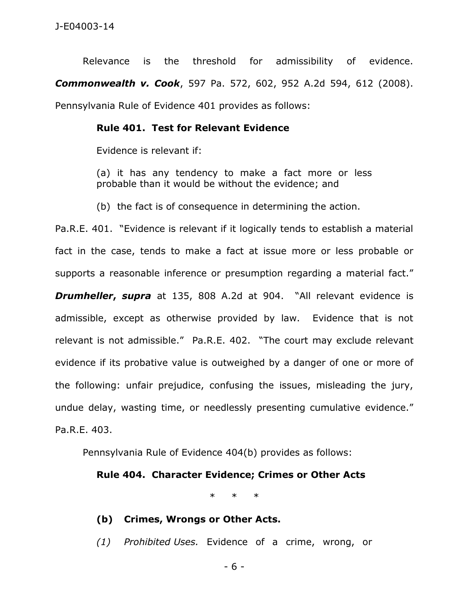Relevance is the threshold for admissibility of evidence. *Commonwealth v. Cook*, 597 Pa. 572, 602, 952 A.2d 594, 612 (2008). Pennsylvania Rule of Evidence 401 provides as follows:

## **Rule 401. Test for Relevant Evidence**

Evidence is relevant if:

(a) it has any tendency to make a fact more or less probable than it would be without the evidence; and

(b) the fact is of consequence in determining the action.

Pa.R.E. 401. "Evidence is relevant if it logically tends to establish a material fact in the case, tends to make a fact at issue more or less probable or supports a reasonable inference or presumption regarding a material fact." **Drumheller, supra** at 135, 808 A.2d at 904. "All relevant evidence is admissible, except as otherwise provided by law. Evidence that is not relevant is not admissible." Pa.R.E. 402. "The court may exclude relevant evidence if its probative value is outweighed by a danger of one or more of the following: unfair prejudice, confusing the issues, misleading the jury, undue delay, wasting time, or needlessly presenting cumulative evidence." Pa.R.E. 403.

Pennsylvania Rule of Evidence 404(b) provides as follows:

## **Rule 404. Character Evidence; Crimes or Other Acts**

\* \* \*

- **(b) Crimes, Wrongs or Other Acts.**
- *(1) Prohibited Uses.* Evidence of a crime, wrong, or

- 6 -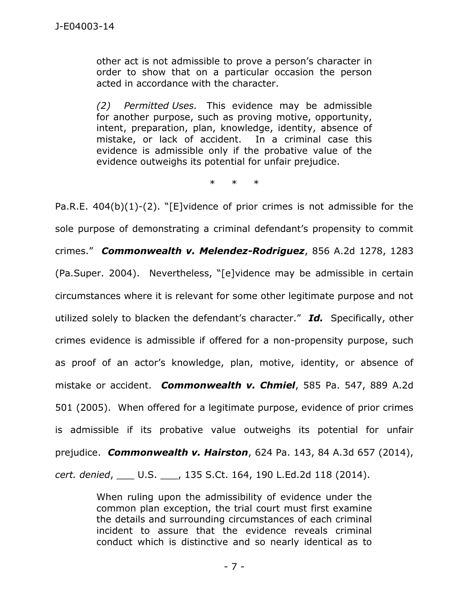other act is not admissible to prove a person's character in order to show that on a particular occasion the person acted in accordance with the character.

*(2) Permitted Uses.* This evidence may be admissible for another purpose, such as proving motive, opportunity, intent, preparation, plan, knowledge, identity, absence of mistake, or lack of accident. In a criminal case this evidence is admissible only if the probative value of the evidence outweighs its potential for unfair prejudice.

\* \* \*

Pa.R.E. 404(b)(1)-(2). "[E]vidence of prior crimes is not admissible for the sole purpose of demonstrating a criminal defendant's propensity to commit crimes." *Commonwealth v. Melendez-Rodriguez*, 856 A.2d 1278, 1283 (Pa.Super. 2004). Nevertheless, "[e]vidence may be admissible in certain circumstances where it is relevant for some other legitimate purpose and not utilized solely to blacken the defendant's character." *Id.* Specifically, other crimes evidence is admissible if offered for a non-propensity purpose, such as proof of an actor's knowledge, plan, motive, identity, or absence of mistake or accident. *Commonwealth v. Chmiel*, 585 Pa. 547, 889 A.2d 501 (2005). When offered for a legitimate purpose, evidence of prior crimes is admissible if its probative value outweighs its potential for unfair prejudice. *Commonwealth v. Hairston*, 624 Pa. 143, 84 A.3d 657 (2014), *cert. denied*, \_\_\_ U.S. \_\_\_, 135 S.Ct. 164, 190 L.Ed.2d 118 (2014).

> When ruling upon the admissibility of evidence under the common plan exception, the trial court must first examine the details and surrounding circumstances of each criminal incident to assure that the evidence reveals criminal conduct which is distinctive and so nearly identical as to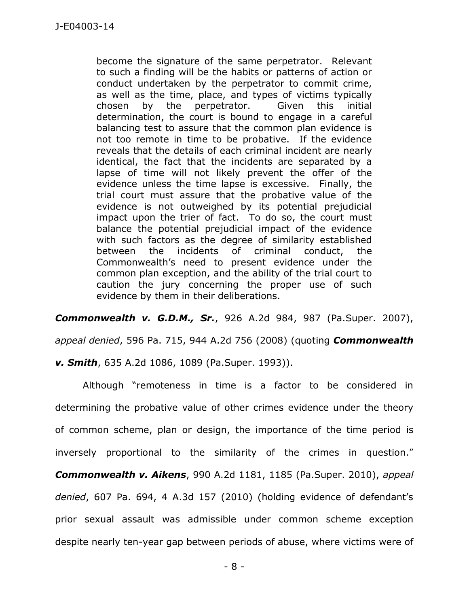become the signature of the same perpetrator. Relevant to such a finding will be the habits or patterns of action or conduct undertaken by the perpetrator to commit crime, as well as the time, place, and types of victims typically chosen by the perpetrator. Given this initial determination, the court is bound to engage in a careful balancing test to assure that the common plan evidence is not too remote in time to be probative. If the evidence reveals that the details of each criminal incident are nearly identical, the fact that the incidents are separated by a lapse of time will not likely prevent the offer of the evidence unless the time lapse is excessive. Finally, the trial court must assure that the probative value of the evidence is not outweighed by its potential prejudicial impact upon the trier of fact. To do so, the court must balance the potential prejudicial impact of the evidence with such factors as the degree of similarity established between the incidents of criminal conduct, the Commonwealth's need to present evidence under the common plan exception, and the ability of the trial court to caution the jury concerning the proper use of such evidence by them in their deliberations.

*Commonwealth v. G.D.M., Sr.*, 926 A.2d 984, 987 (Pa.Super. 2007),

*appeal denied*, 596 Pa. 715, 944 A.2d 756 (2008) (quoting *Commonwealth* 

*v. Smith*, 635 A.2d 1086, 1089 (Pa.Super. 1993)).

Although "remoteness in time is a factor to be considered in determining the probative value of other crimes evidence under the theory of common scheme, plan or design, the importance of the time period is inversely proportional to the similarity of the crimes in question." *Commonwealth v. Aikens*, 990 A.2d 1181, 1185 (Pa.Super. 2010), *appeal denied*, 607 Pa. 694, 4 A.3d 157 (2010) (holding evidence of defendant's prior sexual assault was admissible under common scheme exception despite nearly ten-year gap between periods of abuse, where victims were of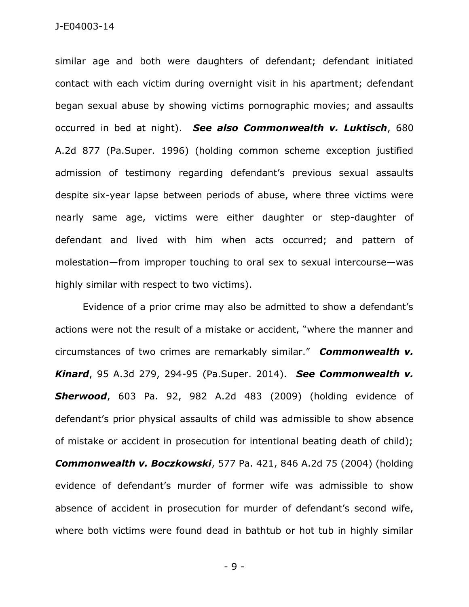similar age and both were daughters of defendant; defendant initiated contact with each victim during overnight visit in his apartment; defendant began sexual abuse by showing victims pornographic movies; and assaults occurred in bed at night). *See also Commonwealth v. Luktisch*, 680 A.2d 877 (Pa.Super. 1996) (holding common scheme exception justified admission of testimony regarding defendant's previous sexual assaults despite six-year lapse between periods of abuse, where three victims were nearly same age, victims were either daughter or step-daughter of defendant and lived with him when acts occurred; and pattern of molestation—from improper touching to oral sex to sexual intercourse—was highly similar with respect to two victims).

Evidence of a prior crime may also be admitted to show a defendant's actions were not the result of a mistake or accident, "where the manner and circumstances of two crimes are remarkably similar." *Commonwealth v. Kinard*, 95 A.3d 279, 294-95 (Pa.Super. 2014). *See Commonwealth v. Sherwood*, 603 Pa. 92, 982 A.2d 483 (2009) (holding evidence of defendant's prior physical assaults of child was admissible to show absence of mistake or accident in prosecution for intentional beating death of child); *Commonwealth v. Boczkowski*, 577 Pa. 421, 846 A.2d 75 (2004) (holding evidence of defendant's murder of former wife was admissible to show absence of accident in prosecution for murder of defendant's second wife, where both victims were found dead in bathtub or hot tub in highly similar

- 9 -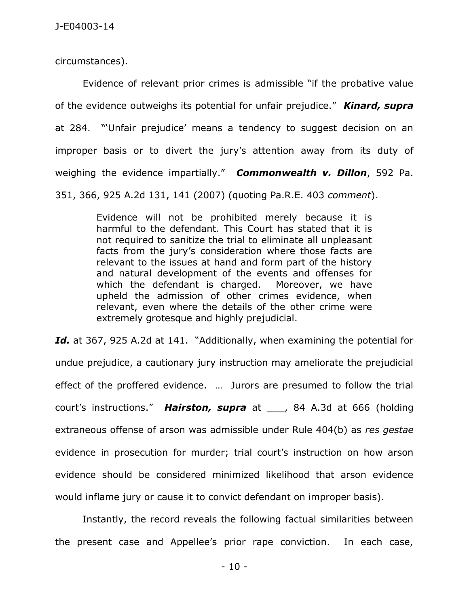circumstances).

Evidence of relevant prior crimes is admissible "if the probative value of the evidence outweighs its potential for unfair prejudice." *Kinard, supra* at 284. "'Unfair prejudice' means a tendency to suggest decision on an improper basis or to divert the jury's attention away from its duty of weighing the evidence impartially." *Commonwealth v. Dillon*, 592 Pa. 351, 366, 925 A.2d 131, 141 (2007) (quoting Pa.R.E. 403 *comment*).

> Evidence will not be prohibited merely because it is harmful to the defendant. This Court has stated that it is not required to sanitize the trial to eliminate all unpleasant facts from the jury's consideration where those facts are relevant to the issues at hand and form part of the history and natural development of the events and offenses for which the defendant is charged. Moreover, we have upheld the admission of other crimes evidence, when relevant, even where the details of the other crime were extremely grotesque and highly prejudicial.

*Id.* at 367, 925 A.2d at 141. "Additionally, when examining the potential for undue prejudice, a cautionary jury instruction may ameliorate the prejudicial effect of the proffered evidence. … Jurors are presumed to follow the trial court's instructions." *Hairston, supra* at \_\_\_, 84 A.3d at 666 (holding extraneous offense of arson was admissible under Rule 404(b) as *res gestae* evidence in prosecution for murder; trial court's instruction on how arson evidence should be considered minimized likelihood that arson evidence would inflame jury or cause it to convict defendant on improper basis).

Instantly, the record reveals the following factual similarities between the present case and Appellee's prior rape conviction. In each case,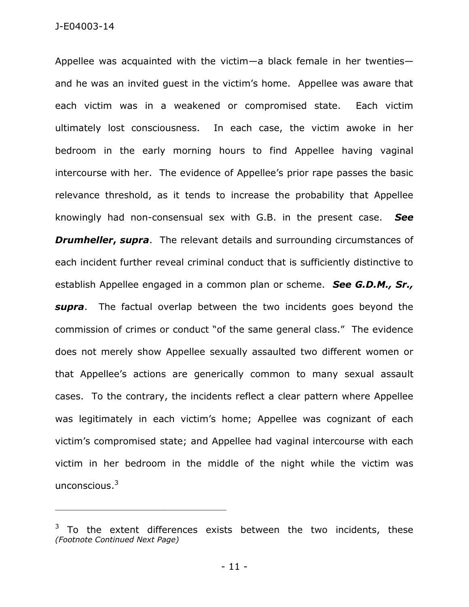Appellee was acquainted with the victim—a black female in her twenties and he was an invited guest in the victim's home. Appellee was aware that each victim was in a weakened or compromised state. Each victim ultimately lost consciousness. In each case, the victim awoke in her bedroom in the early morning hours to find Appellee having vaginal intercourse with her. The evidence of Appellee's prior rape passes the basic relevance threshold, as it tends to increase the probability that Appellee knowingly had non-consensual sex with G.B. in the present case. *See Drumheller, supra*. The relevant details and surrounding circumstances of each incident further reveal criminal conduct that is sufficiently distinctive to establish Appellee engaged in a common plan or scheme. *See G.D.M., Sr., supra*. The factual overlap between the two incidents goes beyond the commission of crimes or conduct "of the same general class." The evidence does not merely show Appellee sexually assaulted two different women or that Appellee's actions are generically common to many sexual assault cases. To the contrary, the incidents reflect a clear pattern where Appellee was legitimately in each victim's home; Appellee was cognizant of each victim's compromised state; and Appellee had vaginal intercourse with each victim in her bedroom in the middle of the night while the victim was unconscious. $^3$ 

\_\_\_\_\_\_\_\_\_\_\_\_\_\_\_\_\_\_\_\_\_\_\_\_\_\_\_\_\_\_\_\_\_\_\_\_\_\_\_\_\_\_\_\_

 $3$  To the extent differences exists between the two incidents, these *(Footnote Continued Next Page)*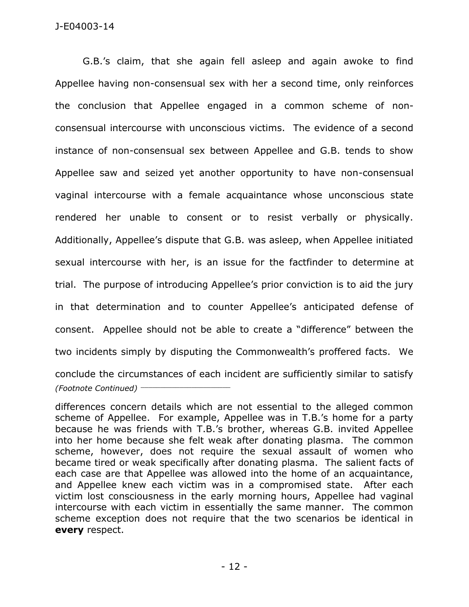G.B.'s claim, that she again fell asleep and again awoke to find Appellee having non-consensual sex with her a second time, only reinforces the conclusion that Appellee engaged in a common scheme of nonconsensual intercourse with unconscious victims. The evidence of a second instance of non-consensual sex between Appellee and G.B. tends to show Appellee saw and seized yet another opportunity to have non-consensual vaginal intercourse with a female acquaintance whose unconscious state rendered her unable to consent or to resist verbally or physically. Additionally, Appellee's dispute that G.B. was asleep, when Appellee initiated sexual intercourse with her, is an issue for the factfinder to determine at trial. The purpose of introducing Appellee's prior conviction is to aid the jury in that determination and to counter Appellee's anticipated defense of consent. Appellee should not be able to create a "difference" between the two incidents simply by disputing the Commonwealth's proffered facts. We conclude the circumstances of each incident are sufficiently similar to satisfy *(Footnote Continued)* \_\_\_\_\_\_\_\_\_\_\_\_\_\_\_\_\_\_\_\_\_\_\_

differences concern details which are not essential to the alleged common scheme of Appellee. For example, Appellee was in T.B.'s home for a party because he was friends with T.B.'s brother, whereas G.B. invited Appellee into her home because she felt weak after donating plasma. The common scheme, however, does not require the sexual assault of women who became tired or weak specifically after donating plasma. The salient facts of each case are that Appellee was allowed into the home of an acquaintance, and Appellee knew each victim was in a compromised state. After each victim lost consciousness in the early morning hours, Appellee had vaginal intercourse with each victim in essentially the same manner. The common scheme exception does not require that the two scenarios be identical in **every** respect.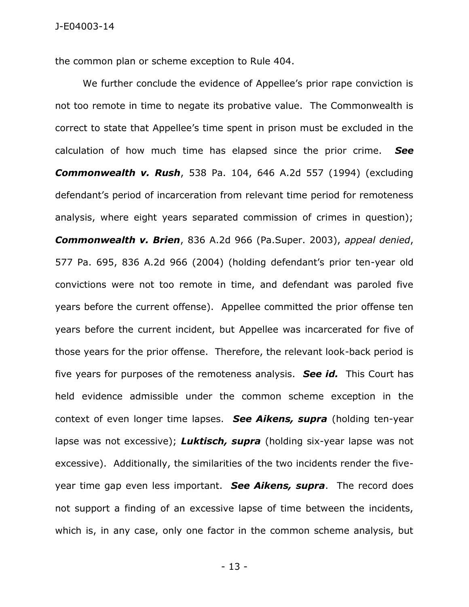the common plan or scheme exception to Rule 404.

We further conclude the evidence of Appellee's prior rape conviction is not too remote in time to negate its probative value. The Commonwealth is correct to state that Appellee's time spent in prison must be excluded in the calculation of how much time has elapsed since the prior crime. *See Commonwealth v. Rush*, 538 Pa. 104, 646 A.2d 557 (1994) (excluding defendant's period of incarceration from relevant time period for remoteness analysis, where eight years separated commission of crimes in question); *Commonwealth v. Brien*, 836 A.2d 966 (Pa.Super. 2003), *appeal denied*, 577 Pa. 695, 836 A.2d 966 (2004) (holding defendant's prior ten-year old convictions were not too remote in time, and defendant was paroled five years before the current offense). Appellee committed the prior offense ten years before the current incident, but Appellee was incarcerated for five of those years for the prior offense. Therefore, the relevant look-back period is five years for purposes of the remoteness analysis. *See id.* This Court has held evidence admissible under the common scheme exception in the context of even longer time lapses. *See Aikens, supra* (holding ten-year lapse was not excessive); *Luktisch, supra* (holding six-year lapse was not excessive). Additionally, the similarities of the two incidents render the fiveyear time gap even less important. *See Aikens, supra*. The record does not support a finding of an excessive lapse of time between the incidents, which is, in any case, only one factor in the common scheme analysis, but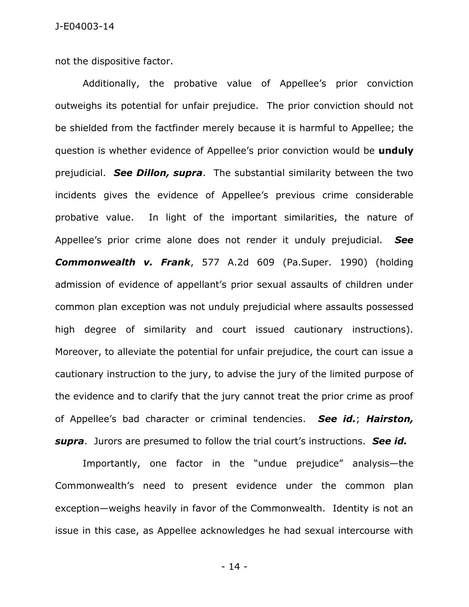not the dispositive factor.

Additionally, the probative value of Appellee's prior conviction outweighs its potential for unfair prejudice. The prior conviction should not be shielded from the factfinder merely because it is harmful to Appellee; the question is whether evidence of Appellee's prior conviction would be **unduly** prejudicial. *See Dillon, supra*. The substantial similarity between the two incidents gives the evidence of Appellee's previous crime considerable probative value. In light of the important similarities, the nature of Appellee's prior crime alone does not render it unduly prejudicial. *See Commonwealth v. Frank*, 577 A.2d 609 (Pa.Super. 1990) (holding admission of evidence of appellant's prior sexual assaults of children under common plan exception was not unduly prejudicial where assaults possessed high degree of similarity and court issued cautionary instructions). Moreover, to alleviate the potential for unfair prejudice, the court can issue a cautionary instruction to the jury, to advise the jury of the limited purpose of the evidence and to clarify that the jury cannot treat the prior crime as proof of Appellee's bad character or criminal tendencies. *See id.*; *Hairston, supra*. Jurors are presumed to follow the trial court's instructions. *See id.*

Importantly, one factor in the "undue prejudice" analysis—the Commonwealth's need to present evidence under the common plan exception—weighs heavily in favor of the Commonwealth. Identity is not an issue in this case, as Appellee acknowledges he had sexual intercourse with

- 14 -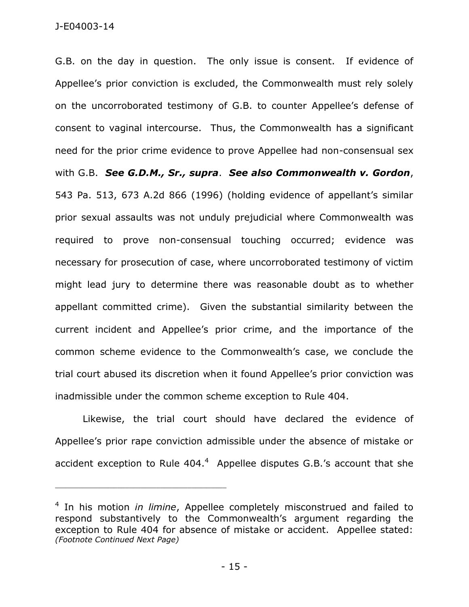J-E04003-14

G.B. on the day in question. The only issue is consent. If evidence of Appellee's prior conviction is excluded, the Commonwealth must rely solely on the uncorroborated testimony of G.B. to counter Appellee's defense of consent to vaginal intercourse. Thus, the Commonwealth has a significant need for the prior crime evidence to prove Appellee had non-consensual sex with G.B. *See G.D.M., Sr., supra*. *See also Commonwealth v. Gordon*, 543 Pa. 513, 673 A.2d 866 (1996) (holding evidence of appellant's similar prior sexual assaults was not unduly prejudicial where Commonwealth was required to prove non-consensual touching occurred; evidence was necessary for prosecution of case, where uncorroborated testimony of victim might lead jury to determine there was reasonable doubt as to whether appellant committed crime). Given the substantial similarity between the current incident and Appellee's prior crime, and the importance of the common scheme evidence to the Commonwealth's case, we conclude the trial court abused its discretion when it found Appellee's prior conviction was inadmissible under the common scheme exception to Rule 404.

Likewise, the trial court should have declared the evidence of Appellee's prior rape conviction admissible under the absence of mistake or accident exception to Rule  $404.^4$  Appellee disputes G.B.'s account that she

\_\_\_\_\_\_\_\_\_\_\_\_\_\_\_\_\_\_\_\_\_\_\_\_\_\_\_\_\_\_\_\_\_\_\_\_\_\_\_\_\_\_\_\_

<sup>4</sup> In his motion *in limine*, Appellee completely misconstrued and failed to respond substantively to the Commonwealth's argument regarding the exception to Rule 404 for absence of mistake or accident. Appellee stated: *(Footnote Continued Next Page)*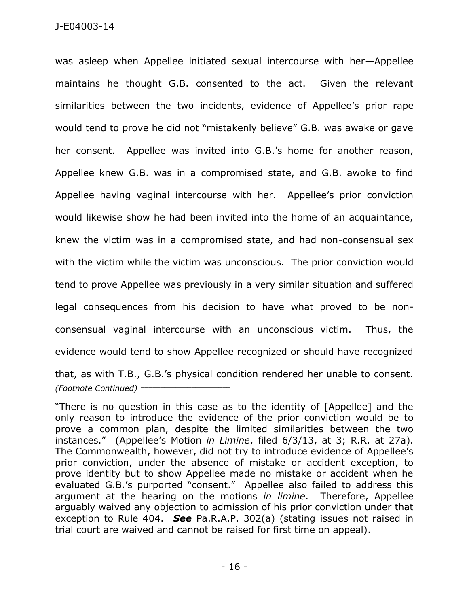was asleep when Appellee initiated sexual intercourse with her—Appellee maintains he thought G.B. consented to the act. Given the relevant similarities between the two incidents, evidence of Appellee's prior rape would tend to prove he did not "mistakenly believe" G.B. was awake or gave her consent. Appellee was invited into G.B.'s home for another reason, Appellee knew G.B. was in a compromised state, and G.B. awoke to find Appellee having vaginal intercourse with her. Appellee's prior conviction would likewise show he had been invited into the home of an acquaintance, knew the victim was in a compromised state, and had non-consensual sex with the victim while the victim was unconscious. The prior conviction would tend to prove Appellee was previously in a very similar situation and suffered legal consequences from his decision to have what proved to be nonconsensual vaginal intercourse with an unconscious victim. Thus, the evidence would tend to show Appellee recognized or should have recognized that, as with T.B., G.B.'s physical condition rendered her unable to consent. *(Footnote Continued)* \_\_\_\_\_\_\_\_\_\_\_\_\_\_\_\_\_\_\_\_\_\_\_

"There is no question in this case as to the identity of [Appellee] and the only reason to introduce the evidence of the prior conviction would be to prove a common plan, despite the limited similarities between the two instances." (Appellee's Motion *in Limine*, filed 6/3/13, at 3; R.R. at 27a). The Commonwealth, however, did not try to introduce evidence of Appellee's prior conviction, under the absence of mistake or accident exception, to prove identity but to show Appellee made no mistake or accident when he evaluated G.B.'s purported "consent." Appellee also failed to address this argument at the hearing on the motions *in limine*. Therefore, Appellee arguably waived any objection to admission of his prior conviction under that exception to Rule 404. *See* Pa.R.A.P. 302(a) (stating issues not raised in trial court are waived and cannot be raised for first time on appeal).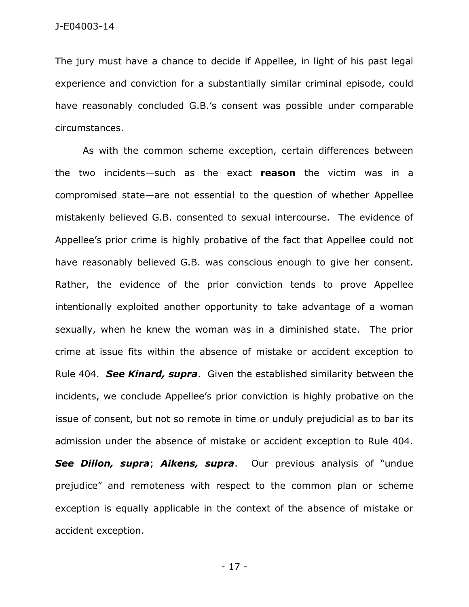The jury must have a chance to decide if Appellee, in light of his past legal experience and conviction for a substantially similar criminal episode, could have reasonably concluded G.B.'s consent was possible under comparable circumstances.

As with the common scheme exception, certain differences between the two incidents—such as the exact **reason** the victim was in a compromised state—are not essential to the question of whether Appellee mistakenly believed G.B. consented to sexual intercourse. The evidence of Appellee's prior crime is highly probative of the fact that Appellee could not have reasonably believed G.B. was conscious enough to give her consent. Rather, the evidence of the prior conviction tends to prove Appellee intentionally exploited another opportunity to take advantage of a woman sexually, when he knew the woman was in a diminished state. The prior crime at issue fits within the absence of mistake or accident exception to Rule 404. *See Kinard, supra*. Given the established similarity between the incidents, we conclude Appellee's prior conviction is highly probative on the issue of consent, but not so remote in time or unduly prejudicial as to bar its admission under the absence of mistake or accident exception to Rule 404. *See Dillon, supra*; *Aikens, supra*. Our previous analysis of "undue prejudice" and remoteness with respect to the common plan or scheme exception is equally applicable in the context of the absence of mistake or accident exception.